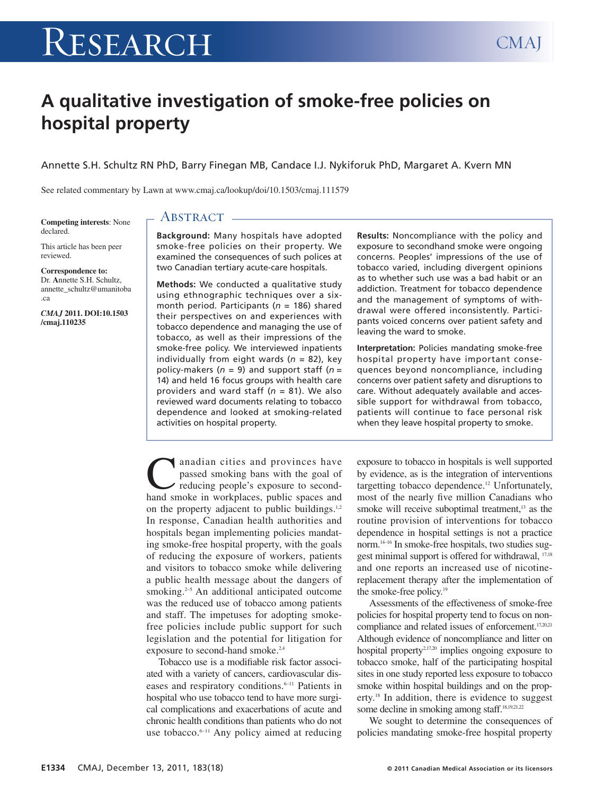# RESEARCH CMAJ

### **A qualitative investigation of smoke-free policies on hospital property**

Annette S.H. Schultz RN PhD, Barry Finegan MB, Candace I.J. Nykiforuk PhD, Margaret A. Kvern MN

See related commentary by Lawn at www.cmaj.ca/lookup/doi/10.1503/cmaj.111579

**Competing interests**: None declared.

#### This article has been peer reviewed.

**Correspondence to:** Dr. **A**nnette S.H. Schultz, annette\_schultz@umanitoba .ca

*CMAJ* **2011. DOI:10.1503 /cmaj.110235**

## **ABSTRACT**

**Background:** Many hospitals have adopted smoke-free policies on their property. We examined the consequences of such polices at two Canadian tertiary acute-care hospitals.

**Methods:** We conducted a qualitative study using ethnographic techniques over a sixmonth period. Participants (*n* = 186) shared their perspectives on and experiences with tobacco dependence and managing the use of tobacco, as well as their impressions of the smoke-free policy. We interviewed inpatients individually from eight wards (*n* = 82), key policy-makers (*n* = 9) and support staff (*n* = 14) and held 16 focus groups with health care providers and ward staff (*n* = 81). We also reviewed ward documents relating to tobacco dependence and looked at smoking-related activities on hospital property.

**Results:** Noncompliance with the policy and exposure to secondhand smoke were ongoing concerns. Peoples' impressions of the use of tobacco varied, including divergent opinions as to whether such use was a bad habit or an addiction. Treatment for tobacco dependence and the management of symptoms of withdrawal were offered inconsistently. Participants voiced concerns over patient safety and leaving the ward to smoke.

**Interpretation:** Policies mandating smoke-free hospital property have important consequences beyond noncompliance, including concerns over patient safety and disruptions to care. Without adequately available and accessible support for withdrawal from tobacco, patients will continue to face personal risk when they leave hospital property to smoke.

anadian cities and provinces have<br>passed smoking bans with the goal of<br>reducing people's exposure to second-<br>hand smoke in workplaces public spaces and passed smoking bans with the goal of reducing people's exposure to secondhand smoke in workplaces, public spaces and on the property adjacent to public buildings.<sup>1,2</sup> In response, Canadian health authorities and hospitals began implementing policies mandating smoke-free hospital property, with the goals of reducing the exposure of workers, patients and visitors to tobacco smoke while delivering a public health message about the dangers of smoking.<sup>2-5</sup> An additional anticipated outcome was the reduced use of tobacco among patients and staff. The impetuses for adopting smokefree policies include public support for such legislation and the potential for litigation for exposure to second-hand smoke.<sup>2,4</sup>

Tobacco use is a modifiable risk factor associated with a variety of cancers, cardiovascular diseases and respiratory conditions. 6–11 Patients in hospital who use tobacco tend to have more surgical complications and exacerbations of acute and chronic health conditions than patients who do not use tobacco. 6–11 Any policy aimed at reducing

exposure to tobacco in hospitals is well supported by evidence, as is the integration of interventions targetting tobacco dependence. <sup>12</sup> Unfortunately, most of the nearly five million Canadians who smoke will receive suboptimal treatment,<sup>13</sup> as the routine provision of interventions for tobacco dependence in hospital settings is not a practice norm. 14–16 In smoke-free hospitals, two studies suggest minimal support is offered for withdrawal, 17,18 and one reports an increased use of nicotinereplacement therapy after the implementation of the smoke-free policy. 19

Assessments of the effectiveness of smoke-free policies for hospital property tend to focus on noncompliance and related issues of enforcement. 17,20,21 Although evidence of noncompliance and litter on hospital property<sup>2,17,20</sup> implies ongoing exposure to tobacco smoke, half of the participating hospital sites in one study reported less exposure to tobacco smoke within hospital buildings and on the property. <sup>18</sup> In addition, there is evidence to suggest some decline in smoking among staff. 18,19,21,22

We sought to determine the consequences of policies mandating smoke-free hospital property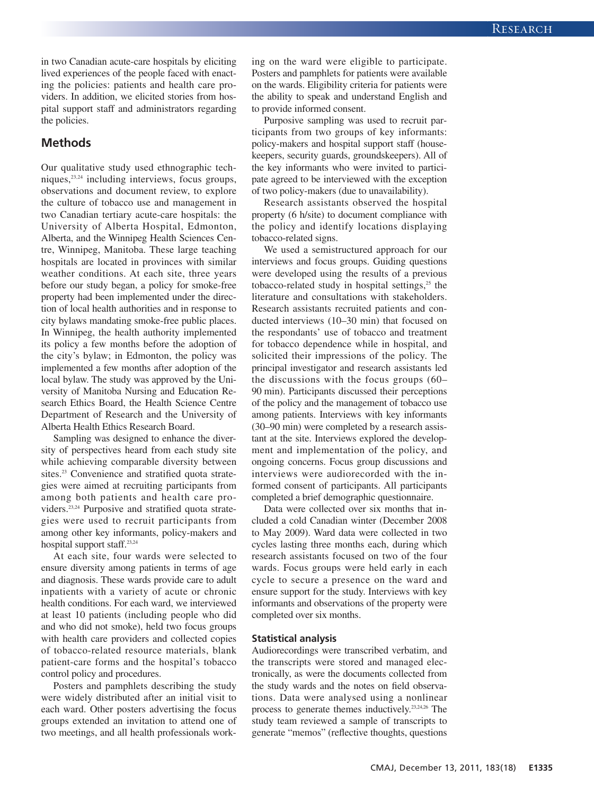in two Canadian acute-care hospitals by eliciting lived experiences of the people faced with enacting the policies: patients and health care providers. In addition, we elicited stories from hospital support staff and administrators regarding the policies.

#### **Methods**

Our qualitative study used ethnographic techniques, 23,24 including interviews, focus groups, observations and document review, to explore the culture of tobacco use and management in two Canadian tertiary acute-care hospitals: the University of Alberta Hospital, Edmonton, Alberta, and the Winnipeg Health Sciences Centre, Winnipeg, Manitoba. These large teaching hospitals are located in provinces with similar weather conditions. At each site, three years before our study began, a policy for smoke-free property had been implemented under the direction of local health authorities and in response to city bylaws mandating smoke-free public places. In Winnipeg, the health authority implemented its policy a few months before the adoption of the city's bylaw; in Edmonton, the policy was implemented a few months after adoption of the local bylaw. The study was approved by the University of Manitoba Nursing and Education Research Ethics Board, the Health Science Centre Department of Research and the University of Alberta Health Ethics Research Board.

Sampling was designed to enhance the diversity of perspectives heard from each study site while achieving comparable diversity between sites. <sup>23</sup> Convenience and stratified quota strategies were aimed at recruiting participants from among both patients and health care providers. 23,24 Purposive and stratified quota strategies were used to recruit participants from among other key informants, policy-makers and hospital support staff. 23,24

At each site, four wards were selected to ensure diversity among patients in terms of age and diagnosis. These wards provide care to adult inpatients with a variety of acute or chronic health conditions. For each ward, we interviewed at least 10 patients (including people who did and who did not smoke), held two focus groups with health care providers and collected copies of tobacco-related resource materials, blank patient-care forms and the hospital's tobacco control policy and procedures.

Posters and pamphlets describing the study were widely distributed after an initial visit to each ward. Other posters advertising the focus groups extended an invitation to attend one of two meetings, and all health professionals working on the ward were eligible to participate. Posters and pamphlets for patients were available on the wards. Eligibility criteria for patients were the ability to speak and understand English and to provide informed consent.

Purposive sampling was used to recruit participants from two groups of key informants: policy-makers and hospital support staff (housekeepers, security guards, groundskeepers). All of the key informants who were invited to participate agreed to be interviewed with the exception of two policy-makers (due to unavailability).

Research assistants observed the hospital property (6 h/site) to document compliance with the policy and identify locations displaying tobacco-related signs.

We used a semistructured approach for our interviews and focus groups. Guiding questions were developed using the results of a previous tobacco-related study in hospital settings, <sup>25</sup> the literature and consultations with stakeholders. Research assistants recruited patients and conducted interviews (10–30 min) that focused on the respondants' use of tobacco and treatment for tobacco dependence while in hospital, and solicited their impressions of the policy. The principal investigator and research assistants led the discussions with the focus groups (60– 90 min). Participants discussed their perceptions of the policy and the management of tobacco use among patients. Interviews with key informants (30–90 min) were completed by a research assistant at the site. Interviews explored the development and implementation of the policy, and ongoing concerns. Focus group discussions and interviews were audiorecorded with the informed consent of participants. All participants completed a brief demographic questionnaire.

Data were collected over six months that included a cold Canadian winter (December 2008 to May 2009). Ward data were collected in two cycles lasting three months each, during which research assistants focused on two of the four wards. Focus groups were held early in each cycle to secure a presence on the ward and ensure support for the study. Interviews with key informants and observations of the property were completed over six months.

#### **Statistical analysis**

Audiorecordings were transcribed verbatim, and the transcripts were stored and managed electronically, as were the documents collected from the study wards and the notes on field observations. Data were analysed using a nonlinear process to generate themes inductively. 23,24,26 The study team reviewed a sample of transcripts to generate "memos" (reflective thoughts, questions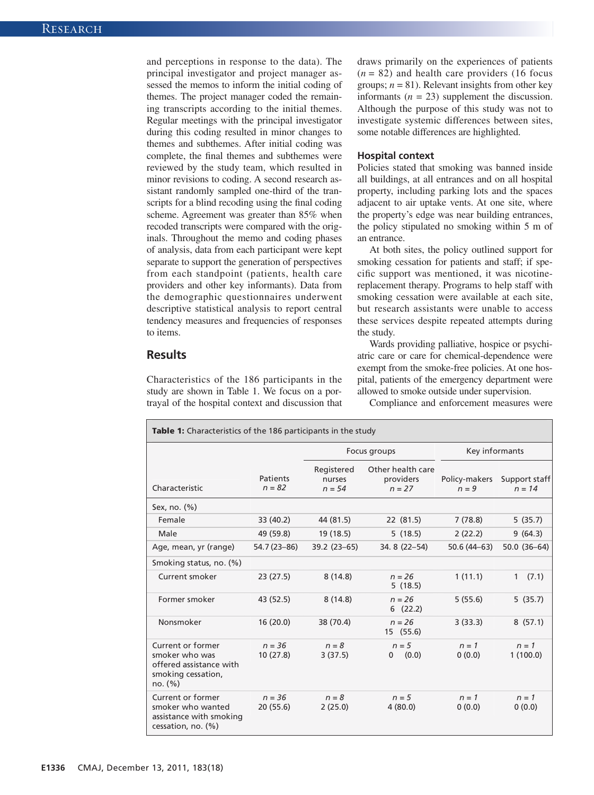and perceptions in response to the data). The principal investigator and project manager assessed the memos to inform the initial coding of themes. The project manager coded the remaining transcripts according to the initial themes. Regular meetings with the principal investigator during this coding resulted in minor changes to themes and subthemes. After initial coding was complete, the final themes and subthemes were reviewed by the study team, which resulted in minor revisions to coding. A second research assistant randomly sampled one-third of the transcripts for a blind recoding using the final coding scheme. Agreement was greater than 85% when recoded transcripts were compared with the originals. Throughout the memo and coding phases of analysis, data from each participant were kept separate to support the generation of perspectives from each standpoint (patients, health care providers and other key informants). Data from the demographic questionnaires underwent descriptive statistical analysis to report central tendency measures and frequencies of responses to items.

#### **Results**

Characteristics of the 186 participants in the study are shown in Table 1. We focus on a portrayal of the hospital context and discussion that draws primarily on the experiences of patients  $(n = 82)$  and health care providers (16 focus groups;  $n = 81$ ). Relevant insights from other key informants  $(n = 23)$  supplement the discussion. Although the purpose of this study was not to investigate systemic differences between sites, some notable differences are highlighted.

#### **Hospital context**

Policies stated that smoking was banned inside all buildings, at all entrances and on all hospital property, including parking lots and the spaces adjacent to air uptake vents. At one site, where the property's edge was near building entrances, the policy stipulated no smoking within 5 m of an entrance.

At both sites, the policy outlined support for smoking cessation for patients and staff; if specific support was mentioned, it was nicotinereplacement therapy. Programs to help staff with smoking cessation were available at each site, but research assistants were unable to access these services despite repeated attempts during the study.

Wards providing palliative, hospice or psychiatric care or care for chemical-dependence were exempt from the smoke-free policies. At one hospital, patients of the emergency department were allowed to smoke outside under supervision.

Compliance and enforcement measures were

| Table 1: Characteristics of the 186 participants in the study                                   |                      |                                  |                                            |                          |                           |
|-------------------------------------------------------------------------------------------------|----------------------|----------------------------------|--------------------------------------------|--------------------------|---------------------------|
|                                                                                                 |                      | Focus groups                     |                                            | Key informants           |                           |
| Characteristic                                                                                  | Patients<br>$n = 82$ | Registered<br>nurses<br>$n = 54$ | Other health care<br>providers<br>$n = 27$ | Policy-makers<br>$n = 9$ | Support staff<br>$n = 14$ |
| Sex, no. (%)                                                                                    |                      |                                  |                                            |                          |                           |
| Female                                                                                          | 33 (40.2)            | 44 (81.5)                        | 22 (81.5)                                  | 7(78.8)                  | 5(35.7)                   |
| Male                                                                                            | 49 (59.8)            | 19 (18.5)                        | 5(18.5)                                    | 2(22.2)                  | 9(64.3)                   |
| Age, mean, yr (range)                                                                           | 54.7 (23-86)         | 39.2 (23-65)                     | 34.8 (22-54)                               | $50.6(44-63)$            | $50.0(36-64)$             |
| Smoking status, no. (%)                                                                         |                      |                                  |                                            |                          |                           |
| Current smoker                                                                                  | 23(27.5)             | 8(14.8)                          | $n = 26$<br>5(18.5)                        | 1(11.1)                  | $\mathbf{1}$<br>(7.1)     |
| Former smoker                                                                                   | 43 (52.5)            | 8(14.8)                          | $n = 26$<br>6(22.2)                        | 5(55.6)                  | 5(35.7)                   |
| Nonsmoker                                                                                       | 16(20.0)             | 38 (70.4)                        | $n = 26$<br>15 (55.6)                      | 3(33.3)                  | 8(57.1)                   |
| Current or former<br>smoker who was<br>offered assistance with<br>smoking cessation,<br>no. (%) | $n = 36$<br>10(27.8) | $n = 8$<br>3(37.5)               | $n = 5$<br>(0.0)<br>0                      | $n = 1$<br>0(0.0)        | $n = 1$<br>1(100.0)       |
| Current or former<br>smoker who wanted<br>assistance with smoking<br>cessation, no. (%)         | $n = 36$<br>20(55.6) | $n = 8$<br>2(25.0)               | $n = 5$<br>4(80.0)                         | $n = 1$<br>0(0.0)        | $n = 1$<br>0(0.0)         |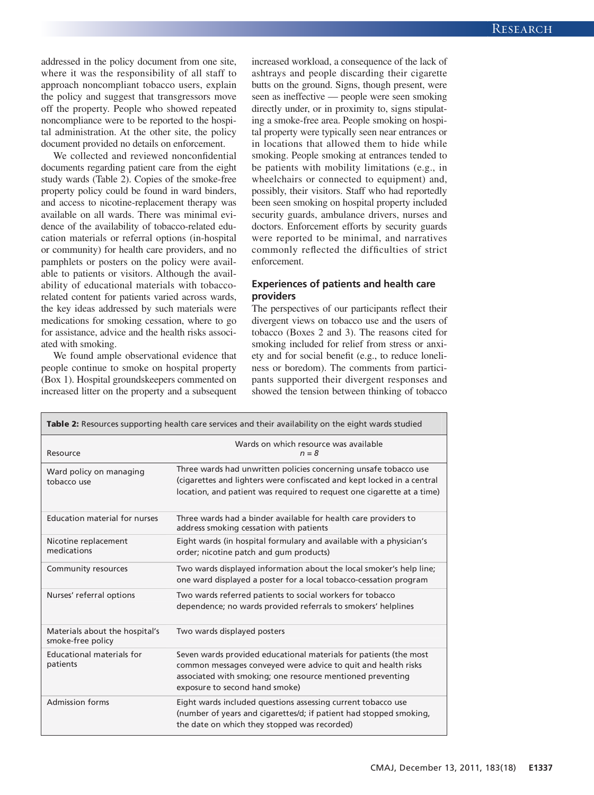addressed in the policy document from one site, where it was the responsibility of all staff to approach noncompliant tobacco users, explain the policy and suggest that transgressors move off the property. People who showed repeated noncompliance were to be reported to the hospital administration. At the other site, the policy document provided no details on enforcement.

We collected and reviewed nonconfidential documents regarding patient care from the eight study wards (Table 2). Copies of the smoke-free property policy could be found in ward binders, and access to nicotine-replacement therapy was available on all wards. There was minimal evidence of the availability of tobacco-related education materials or referral options (in-hospital or community) for health care providers, and no pamphlets or posters on the policy were available to patients or visitors. Although the availability of educational materials with tobaccorelated content for patients varied across wards, the key ideas addressed by such materials were medications for smoking cessation, where to go for assistance, advice and the health risks associated with smoking.

We found ample observational evidence that people continue to smoke on hospital property (Box 1). Hospital groundskeepers commented on increased litter on the property and a subsequent increased workload, a consequence of the lack of ashtrays and people discarding their cigarette butts on the ground. Signs, though present, were seen as ineffective — people were seen smoking directly under, or in proximity to, signs stipulating a smoke-free area. People smoking on hospital property were typically seen near entrances or in locations that allowed them to hide while smoking. People smoking at entrances tended to be patients with mobility limitations (e.g., in wheelchairs or connected to equipment) and, possibly, their visitors. Staff who had reportedly been seen smoking on hospital property included security guards, ambulance drivers, nurses and doctors. Enforcement efforts by security guards were reported to be minimal, and narratives commonly reflected the difficulties of strict enforcement.

#### **Experiences of patients and health care providers**

The perspectives of our participants reflect their divergent views on tobacco use and the users of tobacco (Boxes 2 and 3). The reasons cited for smoking included for relief from stress or anxiety and for social benefit (e.g., to reduce loneliness or boredom). The comments from participants supported their divergent responses and showed the tension between thinking of tobacco

| <b>Table 2:</b> Resources supporting health care services and their availability on the eight wards studied |                                                                                                                                                                                                                                    |  |  |  |
|-------------------------------------------------------------------------------------------------------------|------------------------------------------------------------------------------------------------------------------------------------------------------------------------------------------------------------------------------------|--|--|--|
| Resource                                                                                                    | Wards on which resource was available<br>$n = 8$                                                                                                                                                                                   |  |  |  |
| Ward policy on managing<br>tobacco use                                                                      | Three wards had unwritten policies concerning unsafe tobacco use<br>(cigarettes and lighters were confiscated and kept locked in a central<br>location, and patient was required to request one cigarette at a time)               |  |  |  |
| Education material for nurses                                                                               | Three wards had a binder available for health care providers to<br>address smoking cessation with patients                                                                                                                         |  |  |  |
| Nicotine replacement<br>medications                                                                         | Eight wards (in hospital formulary and available with a physician's<br>order; nicotine patch and gum products)                                                                                                                     |  |  |  |
| Community resources                                                                                         | Two wards displayed information about the local smoker's help line;<br>one ward displayed a poster for a local tobacco-cessation program                                                                                           |  |  |  |
| Nurses' referral options                                                                                    | Two wards referred patients to social workers for tobacco<br>dependence; no wards provided referrals to smokers' helplines                                                                                                         |  |  |  |
| Materials about the hospital's<br>smoke-free policy                                                         | Two wards displayed posters                                                                                                                                                                                                        |  |  |  |
| <b>Educational materials for</b><br>patients                                                                | Seven wards provided educational materials for patients (the most<br>common messages conveyed were advice to quit and health risks<br>associated with smoking; one resource mentioned preventing<br>exposure to second hand smoke) |  |  |  |
| <b>Admission forms</b>                                                                                      | Eight wards included questions assessing current tobacco use<br>(number of years and cigarettes/d; if patient had stopped smoking,<br>the date on which they stopped was recorded)                                                 |  |  |  |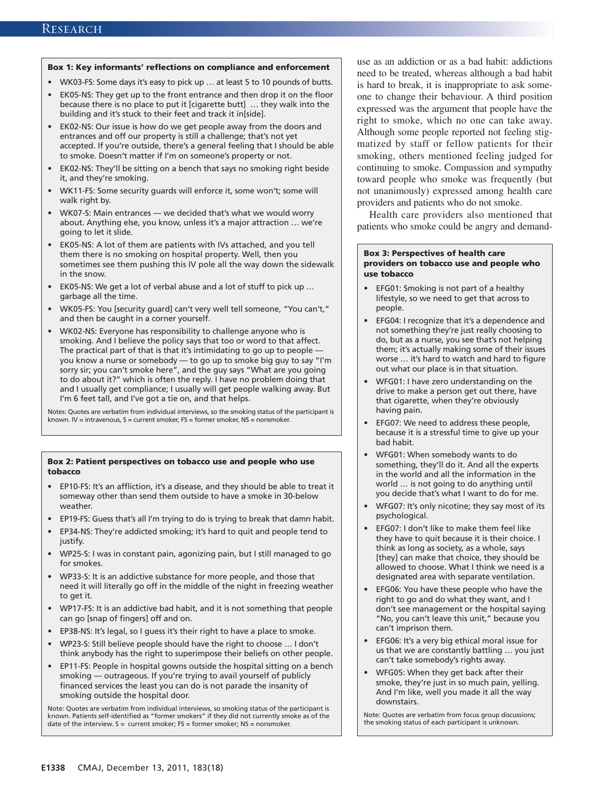#### **Box 1: Key informants' reflections on compliance and enforcement**

- WK03-FS: Some days it's easy to pick up … at least 5 to 10 pounds of butts.
- EK05-NS: They get up to the front entrance and then drop it on the floor because there is no place to put it [cigarette butt] … they walk into the building and it's stuck to their feet and track it in[side].
- EK02-NS: Our issue is how do we get people away from the doors and entrances and off our property is still a challenge; that's not yet accepted. If you're outside, there's a general feeling that I should be able to smoke. Doesn't matter if I'm on someone's property or not.
- EK02-NS: They'll be sitting on a bench that says no smoking right beside it, and they're smoking.
- WK11-FS: Some security guards will enforce it, some won't; some will walk right by.
- WK07-S: Main entrances we decided that's what we would worry about. Anything else, you know, unless it's a major attraction … we're going to let it slide.
- EK05-NS: A lot of them are patients with IVs attached, and you tell them there is no smoking on hospital property. Well, then you sometimes see them pushing this IV pole all the way down the sidewalk in the snow.
- EK05-NS: We get a lot of verbal abuse and a lot of stuff to pick up … garbage all the time.
- WK05-FS: You [security guard] can't very well tell someone, "You can't," and then be caught in a corner yourself.
- WK02-NS: Everyone has responsibility to challenge anyone who is smoking. And I believe the policy says that too or word to that affect. The practical part of that is that it's intimidating to go up to people you know a nurse or somebody — to go up to smoke big guy to say "I'm sorry sir; you can't smoke here", and the guy says "What are you going to do about it?" which is often the reply. I have no problem doing that and I usually get compliance; I usually will get people walking away. But I'm 6 feet tall, and I've got a tie on, and that helps.

Notes: Quotes are verbatim from individual interviews, so the smoking status of the participant is known.  $V =$  intravenous,  $S =$  current smoker,  $FS =$  former smoker,  $NS =$  nonsmoker.

#### **Box 2: Patient perspectives on tobacco use and people who use tobacco**

- EP10-FS: It's an affliction, it's a disease, and they should be able to treat it someway other than send them outside to have a smoke in 30-below weather.
- EP19-FS: Guess that's all I'm trying to do is trying to break that damn habit.
- EP34-NS: They're addicted smoking; it's hard to quit and people tend to justify.
- WP25-S: I was in constant pain, agonizing pain, but I still managed to go for smokes.
- WP33-S: It is an addictive substance for more people, and those that need it will literally go off in the middle of the night in freezing weather to get it.
- WP17-FS: It is an addictive bad habit, and it is not something that people can go [snap of fingers] off and on.
- EP38-NS: It's legal, so I guess it's their right to have a place to smoke.
- WP23-S: Still believe people should have the right to choose … I don't think anybody has the right to superimpose their beliefs on other people.
- EP11-FS: People in hospital gowns outside the hospital sitting on a bench smoking — outrageous. If you're trying to avail yourself of publicly financed services the least you can do is not parade the insanity of smoking outside the hospital door.

Note: Quotes are verbatim from individual interviews, so smoking status of the participant is known. Patients self-identified as "former smokers" if they did not currently smoke as of the date of the interview. S = current smoker; FS = former smoker; NS = nonsmoker.

use as an addiction or as a bad habit: addictions need to be treated, whereas although a bad habit is hard to break, it is inappropriate to ask someone to change their behaviour. A third position expressed was the argument that people have the right to smoke, which no one can take away. Although some people reported not feeling stigmatized by staff or fellow patients for their smoking, others mentioned feeling judged for continuing to smoke. Compassion and sympathy toward people who smoke was frequently (but not unanimously) expressed among health care providers and patients who do not smoke.

Health care providers also mentioned that patients who smoke could be angry and demand-

#### **Box 3: Perspectives of health care providers on tobacco use and people who use tobacco**

- EFG01: Smoking is not part of a healthy lifestyle, so we need to get that across to people.
- EFG04: I recognize that it's a dependence and not something they're just really choosing to do, but as a nurse, you see that's not helping them; it's actually making some of their issues worse … it's hard to watch and hard to figure out what our place is in that situation.
- WFG01: I have zero understanding on the drive to make a person get out there, have that cigarette, when they're obviously having pain.
- EFG07: We need to address these people, because it is a stressful time to give up your bad habit.
- WFG01: When somebody wants to do something, they'll do it. And all the experts in the world and all the information in the world … is not going to do anything until you decide that's what I want to do for me.
- WFG07: It's only nicotine; they say most of its psychological.
- EFG07: I don't like to make them feel like they have to quit because it is their choice. I think as long as society, as a whole, says [they] can make that choice, they should be allowed to choose. What I think we need is a designated area with separate ventilation.
- EFG06: You have these people who have the right to go and do what they want, and I don't see management or the hospital saying "No, you can't leave this unit," because you can't imprison them.
- EFG06: It's a very big ethical moral issue for us that we are constantly battling … you just can't take somebody's rights away.
- WFG05: When they get back after their smoke, they're just in so much pain, yelling. And I'm like, well you made it all the way downstairs.

Note: Quotes are verbatim from focus group discussions; the smoking status of each participant is unknown.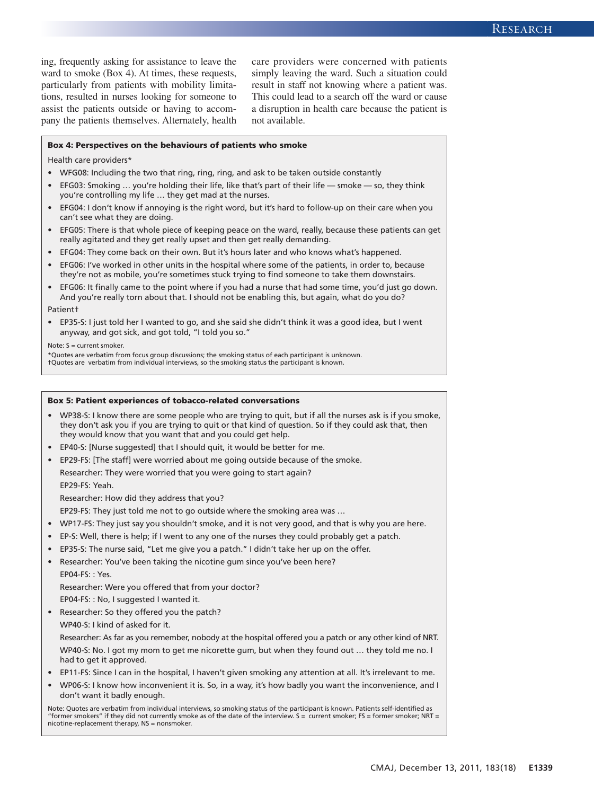ing, frequently asking for assistance to leave the ward to smoke (Box 4). At times, these requests, particularly from patients with mobility limitations, resulted in nurses looking for someone to assist the patients outside or having to accompany the patients themselves. Alternately, health care providers were concerned with patients simply leaving the ward. Such a situation could result in staff not knowing where a patient was. This could lead to a search off the ward or cause a disruption in health care because the patient is not available.

#### **Box 4: Perspectives on the behaviours of patients who smoke**

Health care providers\*

- WFG08: Including the two that ring, ring, ring, and ask to be taken outside constantly
- EFG03: Smoking … you're holding their life, like that's part of their life smoke so, they think you're controlling my life … they get mad at the nurses.
- EFG04: I don't know if annoying is the right word, but it's hard to follow-up on their care when you can't see what they are doing.
- EFG05: There is that whole piece of keeping peace on the ward, really, because these patients can get really agitated and they get really upset and then get really demanding.
- EFG04: They come back on their own. But it's hours later and who knows what's happened.
- EFG06: I've worked in other units in the hospital where some of the patients, in order to, because they're not as mobile, you're sometimes stuck trying to find someone to take them downstairs.
- EFG06: It finally came to the point where if you had a nurse that had some time, you'd just go down. And you're really torn about that. I should not be enabling this, but again, what do you do?

#### Patient†

• EP35-S: I just told her I wanted to go, and she said she didn't think it was a good idea, but I went anyway, and got sick, and got told, "I told you so."

Note: S = current smoker.

\*Quotes are verbatim from focus group discussions; the smoking status of each participant is unknown. †Quotes are verbatim from individual interviews, so the smoking status the participant is known.

#### **Box 5: Patient experiences of tobacco-related conversations**

- WP38-S: I know there are some people who are trying to quit, but if all the nurses ask is if you smoke, they don't ask you if you are trying to quit or that kind of question. So if they could ask that, then they would know that you want that and you could get help.
- EP40-S: [Nurse suggested] that I should quit, it would be better for me.
- EP29-FS: [The staff] were worried about me going outside because of the smoke.

Researcher: They were worried that you were going to start again? EP29-FS: Yeah.

Researcher: How did they address that you?

EP29-FS: They just told me not to go outside where the smoking area was …

- WP17-FS: They just say you shouldn't smoke, and it is not very good, and that is why you are here.
- EP-S: Well, there is help; if I went to any one of the nurses they could probably get a patch.
- EP35-S: The nurse said, "Let me give you a patch." I didn't take her up on the offer.
- Researcher: You've been taking the nicotine gum since you've been here?
- EP04-FS: : Yes. Researcher: Were you offered that from your doctor?
- EP04-FS: : No, I suggested I wanted it.
- Researcher: So they offered you the patch?
	- WP40-S: I kind of asked for it.

Researcher: As far as you remember, nobody at the hospital offered you a patch or any other kind of NRT. WP40-S: No. I got my mom to get me nicorette gum, but when they found out … they told me no. I had to get it approved.

- EP11-FS: Since I can in the hospital, I haven't given smoking any attention at all. It's irrelevant to me.
- WP06-S: I know how inconvenient it is. So, in a way, it's how badly you want the inconvenience, and I don't want it badly enough.

Note: Quotes are verbatim from individual interviews, so smoking status of the participant is known. Patients self-identified as "former smokers" if they did not currently smoke as of the date of the interview. S = current smoker; FS = former smoker; NRT = nicotine-replacement therapy, NS = nonsmoker.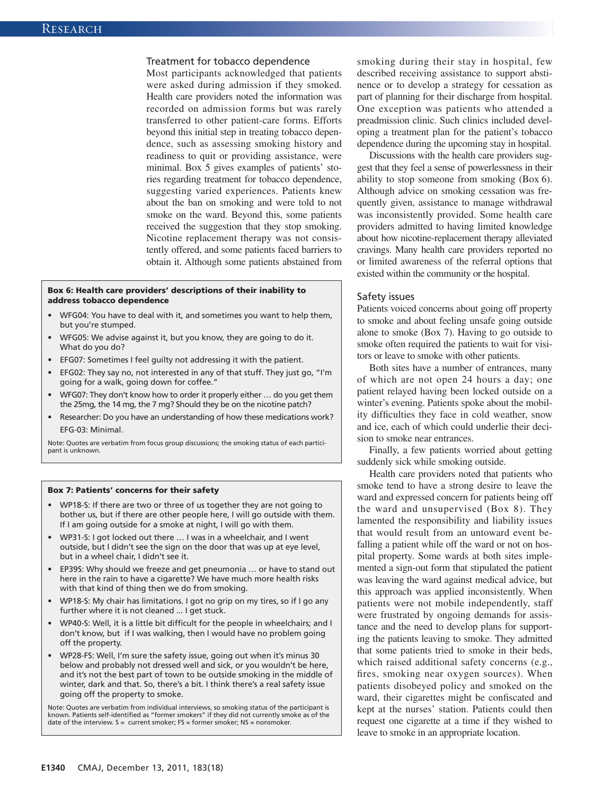#### Treatment for tobacco dependence

Most participants acknowledged that patients were asked during admission if they smoked. Health care providers noted the information was recorded on admission forms but was rarely transferred to other patient-care forms. Efforts beyond this initial step in treating tobacco dependence, such as assessing smoking history and readiness to quit or providing assistance, were minimal. Box 5 gives examples of patients' stories regarding treatment for tobacco dependence, suggesting varied experiences. Patients knew about the ban on smoking and were told to not smoke on the ward. Beyond this, some patients received the suggestion that they stop smoking. Nicotine replacement therapy was not consistently offered, and some patients faced barriers to obtain it. Although some patients abstained from

#### **Box 6: Health care providers' descriptions of their inability to address tobacco dependence**

- WFG04: You have to deal with it, and sometimes you want to help them, but you're stumped.
- WFG05: We advise against it, but you know, they are going to do it. What do you do?
- EFG07: Sometimes I feel guilty not addressing it with the patient.
- EFG02: They say no, not interested in any of that stuff. They just go, "I'm going for a walk, going down for coffee."
- WFG07: They don't know how to order it properly either ... do you get them the 25mg, the 14 mg, the 7 mg? Should they be on the nicotine patch?
- Researcher: Do you have an understanding of how these medications work? EFG-03: Minimal.

Note: Quotes are verbatim from focus group discussions; the smoking status of each participant is unknown.

#### **Box 7: Patients' concerns for their safety**

- WP18-S: If there are two or three of us together they are not going to bother us, but if there are other people here, I will go outside with them. If I am going outside for a smoke at night, I will go with them.
- WP31-S: I got locked out there … I was in a wheelchair, and I went outside, but I didn't see the sign on the door that was up at eye level, but in a wheel chair, I didn't see it.
- EP39S: Why should we freeze and get pneumonia … or have to stand out here in the rain to have a cigarette? We have much more health risks with that kind of thing then we do from smoking.
- WP18-S: My chair has limitations. I got no grip on my tires, so if I go any further where it is not cleaned ... I get stuck.
- WP40-S: Well, it is a little bit difficult for the people in wheelchairs; and I don't know, but if I was walking, then I would have no problem going off the property.
- WP28-FS: Well, I'm sure the safety issue, going out when it's minus 30 below and probably not dressed well and sick, or you wouldn't be here, and it's not the best part of town to be outside smoking in the middle of winter, dark and that. So, there's a bit. I think there's a real safety issue going off the property to smoke.

Note: Quotes are verbatim from individual interviews, so smoking status of the participant is known. Patients self-identified as "former smokers" if they did not currently smoke as of the date of the interview. S = current smoker; FS = former smoker; NS = nonsmoker.

smoking during their stay in hospital, few described receiving assistance to support abstinence or to develop a strategy for cessation as part of planning for their discharge from hospital. One exception was patients who attended a preadmission clinic. Such clinics included developing a treatment plan for the patient's tobacco dependence during the upcoming stay in hospital.

Discussions with the health care providers suggest that they feel a sense of powerlessness in their ability to stop someone from smoking (Box 6). Although advice on smoking cessation was frequently given, assistance to manage withdrawal was inconsistently provided. Some health care providers admitted to having limited knowledge about how nicotine-replacement therapy alleviated cravings. Many health care providers reported no or limited awareness of the referral options that existed within the community or the hospital.

#### Safety issues

Patients voiced concerns about going off property to smoke and about feeling unsafe going outside alone to smoke (Box 7). Having to go outside to smoke often required the patients to wait for visitors or leave to smoke with other patients.

Both sites have a number of entrances, many of which are not open 24 hours a day; one patient relayed having been locked outside on a winter's evening. Patients spoke about the mobility difficulties they face in cold weather, snow and ice, each of which could underlie their decision to smoke near entrances.

Finally, a few patients worried about getting suddenly sick while smoking outside.

Health care providers noted that patients who smoke tend to have a strong desire to leave the ward and expressed concern for patients being off the ward and unsupervised (Box 8). They lamented the responsibility and liability issues that would result from an untoward event befalling a patient while off the ward or not on hospital property. Some wards at both sites implemented a sign-out form that stipulated the patient was leaving the ward against medical advice, but this approach was applied inconsistently. When patients were not mobile independently, staff were frustrated by ongoing demands for assistance and the need to develop plans for supporting the patients leaving to smoke. They admitted that some patients tried to smoke in their beds, which raised additional safety concerns (e.g., fires, smoking near oxygen sources). When patients disobeyed policy and smoked on the ward, their cigarettes might be confiscated and kept at the nurses' station. Patients could then request one cigarette at a time if they wished to leave to smoke in an appropriate location.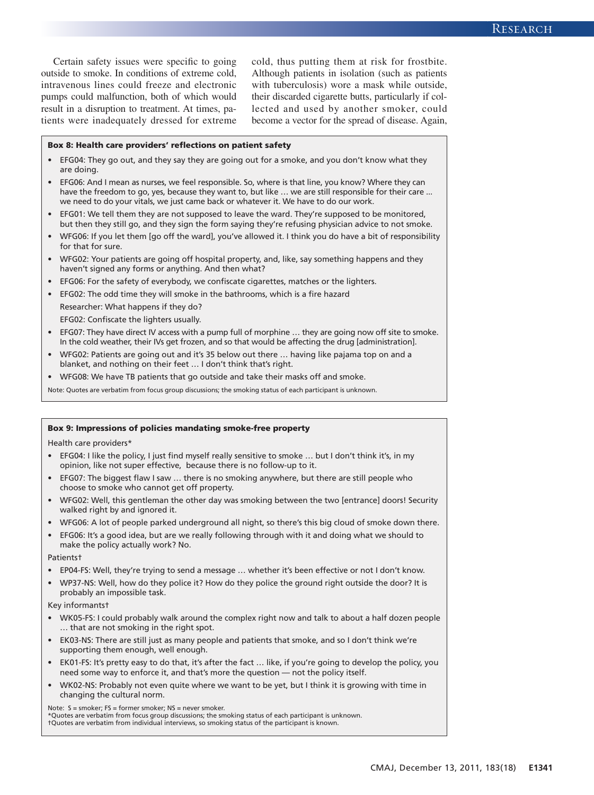Certain safety issues were specific to going outside to smoke. In conditions of extreme cold, intravenous lines could freeze and electronic pumps could malfunction, both of which would result in a disruption to treatment. At times, patients were inadequately dressed for extreme cold, thus putting them at risk for frostbite. Although patients in isolation (such as patients with tuberculosis) wore a mask while outside, their discarded cigarette butts, particularly if collected and used by another smoker, could become a vector for the spread of disease. Again,

#### **Box 8: Health care providers' reflections on patient safety**

- EFG04: They go out, and they say they are going out for a smoke, and you don't know what they are doing.
- EFG06: And I mean as nurses, we feel responsible. So, where is that line, you know? Where they can have the freedom to go, yes, because they want to, but like ... we are still responsible for their care ... we need to do your vitals, we just came back or whatever it. We have to do our work.
- EFG01: We tell them they are not supposed to leave the ward. They're supposed to be monitored, but then they still go, and they sign the form saying they're refusing physician advice to not smoke.
- WFG06: If you let them [go off the ward], you've allowed it. I think you do have a bit of responsibility for that for sure.
- WFG02: Your patients are going off hospital property, and, like, say something happens and they haven't signed any forms or anything. And then what?
- EFG06: For the safety of everybody, we confiscate cigarettes, matches or the lighters.
- EFG02: The odd time they will smoke in the bathrooms, which is a fire hazard
- Researcher: What happens if they do? EFG02: Confiscate the lighters usually.
- EFG07: They have direct IV access with a pump full of morphine … they are going now off site to smoke. In the cold weather, their IVs get frozen, and so that would be affecting the drug [administration].
- WFG02: Patients are going out and it's 35 below out there … having like pajama top on and a blanket, and nothing on their feet … I don't think that's right.
- WFG08: We have TB patients that go outside and take their masks off and smoke.

Note: Quotes are verbatim from focus group discussions; the smoking status of each participant is unknown.

#### **Box 9: Impressions of policies mandating smoke-free property**

Health care providers\*

- EFG04: I like the policy, I just find myself really sensitive to smoke … but I don't think it's, in my opinion, like not super effective, because there is no follow-up to it.
- EFG07: The biggest flaw I saw … there is no smoking anywhere, but there are still people who choose to smoke who cannot get off property.
- WFG02: Well, this gentleman the other day was smoking between the two [entrance] doors! Security walked right by and ignored it.
- WFG06: A lot of people parked underground all night, so there's this big cloud of smoke down there.
- EFG06: It's a good idea, but are we really following through with it and doing what we should to make the policy actually work? No.

Patients†

- EP04-FS: Well, they're trying to send a message … whether it's been effective or not I don't know.
- WP37-NS: Well, how do they police it? How do they police the ground right outside the door? It is probably an impossible task.

#### Key informants†

- WK05-FS: I could probably walk around the complex right now and talk to about a half dozen people … that are not smoking in the right spot.
- EK03-NS: There are still just as many people and patients that smoke, and so I don't think we're supporting them enough, well enough.
- EK01-FS: It's pretty easy to do that, it's after the fact … like, if you're going to develop the policy, you need some way to enforce it, and that's more the question — not the policy itself.
- WK02-NS: Probably not even quite where we want to be yet, but I think it is growing with time in changing the cultural norm.

Note: S = smoker; FS = former smoker; NS = never smoker.

\*Quotes are verbatim from focus group discussions; the smoking status of each participant is unknown. †Quotes are verbatim from individual interviews, so smoking status of the participant is known.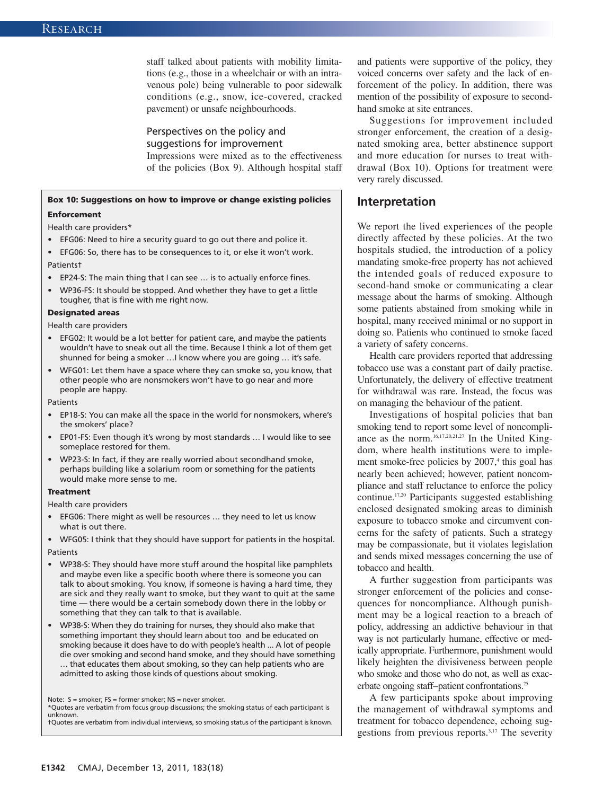staff talked about patients with mobility limitations (e.g., those in a wheelchair or with an intravenous pole) being vulnerable to poor sidewalk conditions (e.g., snow, ice-covered, cracked pavement) or unsafe neighbourhoods.

Perspectives on the policy and suggestions for improvement

Impressions were mixed as to the effectiveness of the policies (Box 9). Although hospital staff

#### **Box 10: Suggestions on how to improve or change existing policies Enforcement**

#### Health care providers\*

- EFG06: Need to hire a security guard to go out there and police it.
- EFG06: So, there has to be consequences to it, or else it won't work. Patients†
- EP24-S: The main thing that I can see … is to actually enforce fines.
- WP36-FS: It should be stopped. And whether they have to get a little tougher, that is fine with me right now.

#### **Designated areas**

#### Health care providers

- EFG02: It would be a lot better for patient care, and maybe the patients wouldn't have to sneak out all the time. Because I think a lot of them get shunned for being a smoker …I know where you are going … it's safe.
- WFG01: Let them have a space where they can smoke so, you know, that other people who are nonsmokers won't have to go near and more people are happy.

#### Patients

- EP18-S: You can make all the space in the world for nonsmokers, where's the smokers' place?
- EP01-FS: Even though it's wrong by most standards … I would like to see someplace restored for them.
- WP23-S: In fact, if they are really worried about secondhand smoke, perhaps building like a solarium room or something for the patients would make more sense to me.

#### **Treatment**

Health care providers

- EFG06: There might as well be resources ... they need to let us know what is out there.
- WFG05: I think that they should have support for patients in the hospital.

#### Patients

- WP38-S: They should have more stuff around the hospital like pamphlets and maybe even like a specific booth where there is someone you can talk to about smoking. You know, if someone is having a hard time, they are sick and they really want to smoke, but they want to quit at the same time — there would be a certain somebody down there in the lobby or something that they can talk to that is available.
- WP38-S: When they do training for nurses, they should also make that something important they should learn about too and be educated on smoking because it does have to do with people's health ... A lot of people die over smoking and second hand smoke, and they should have something … that educates them about smoking, so they can help patients who are admitted to asking those kinds of questions about smoking.

Note: S = smoker; FS = former smoker; NS = never smoker.

\*Quotes are verbatim from focus group discussions; the smoking status of each participant is unknown.

†Quotes are verbatim from individual interviews, so smoking status of the participant is known.

and patients were supportive of the policy, they voiced concerns over safety and the lack of enforcement of the policy. In addition, there was mention of the possibility of exposure to secondhand smoke at site entrances.

Suggestions for improvement included stronger enforcement, the creation of a designated smoking area, better abstinence support and more education for nurses to treat withdrawal (Box 10). Options for treatment were very rarely discussed.

#### **Interpretation**

We report the lived experiences of the people directly affected by these policies. At the two hospitals studied, the introduction of a policy mandating smoke-free property has not achieved the intended goals of reduced exposure to second-hand smoke or communicating a clear message about the harms of smoking. Although some patients abstained from smoking while in hospital, many received minimal or no support in doing so. Patients who continued to smoke faced a variety of safety concerns.

Health care providers reported that addressing tobacco use was a constant part of daily practise. Unfortunately, the delivery of effective treatment for withdrawal was rare. Instead, the focus was on managing the behaviour of the patient.

Investigations of hospital policies that ban smoking tend to report some level of noncompliance as the norm. 16,17,20,21,27 In the United Kingdom, where health institutions were to implement smoke-free policies by 2007, <sup>4</sup> this goal has nearly been achieved; however, patient noncompliance and staff reluctance to enforce the policy continue. 17,20 Participants suggested establishing enclosed designated smoking areas to diminish exposure to tobacco smoke and circumvent concerns for the safety of patients. Such a strategy may be compassionate, but it violates legislation and sends mixed messages concerning the use of tobacco and health.

A further suggestion from participants was stronger enforcement of the policies and consequences for noncompliance. Although punishment may be a logical reaction to a breach of policy, addressing an addictive behaviour in that way is not particularly humane, effective or medically appropriate. Furthermore, punishment would likely heighten the divisiveness between people who smoke and those who do not, as well as exacerbate ongoing staff-patient confrontations.<sup>25</sup>

A few participants spoke about improving the management of withdrawal symptoms and treatment for tobacco dependence, echoing suggestions from previous reports. 3,17 The severity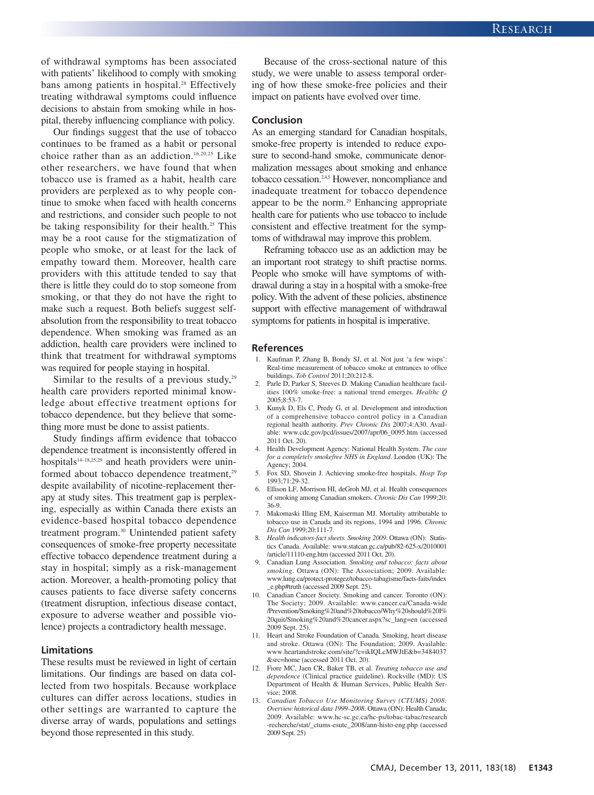of withdrawal symptoms has been associated with patients' likelihood to comply with smoking bans among patients in hospital. <sup>28</sup> Effectively treating withdrawal symptoms could influence decisions to abstain from smoking while in hospital, thereby influencing compliance with policy.

Our findings suggest that the use of tobacco continues to be framed as a habit or personal choice rather than as an addiction. 16,20,25 Like other researchers, we have found that when tobacco use is framed as a habit, health care providers are perplexed as to why people continue to smoke when faced with health concerns and restrictions, and consider such people to not be taking responsibility for their health. <sup>25</sup> This may be a root cause for the stigmatization of people who smoke, or at least for the lack of empathy toward them. Moreover, health care providers with this attitude tended to say that there is little they could do to stop someone from smoking, or that they do not have the right to make such a request. Both beliefs suggest selfabsolution from the responsibility to treat tobacco dependence. When smoking was framed as an addiction, health care providers were inclined to think that treatment for withdrawal symptoms was required for people staying in hospital.

Similar to the results of a previous study,<sup>29</sup> health care providers reported minimal knowledge about effective treatment options for tobacco dependence, but they believe that something more must be done to assist patients.

Study findings affirm evidence that tobacco dependence treatment is inconsistently offered in hospitals<sup>14–18,25,29</sup> and heath providers were uninformed about tobacco dependence treatment,<sup>29</sup> despite availability of nicotine-replacement therapy at study sites. This treatment gap is perplexing, especially as within Canada there exists an evidence-based hospital tobacco dependence treatment program. <sup>30</sup> Unintended patient safety consequences of smoke-free property necessitate effective tobacco dependence treatment during a stay in hospital; simply as a risk-management action. Moreover, a health-promoting policy that causes patients to face diverse safety concerns (treatment disruption, infectious disease contact, exposure to adverse weather and possible violence) projects a contradictory health message.

#### **Limitations**

These results must be reviewed in light of certain limitations. Our findings are based on data collected from two hospitals. Because workplace cultures can differ across locations, studies in other settings are warranted to capture the diverse array of wards, populations and settings beyond those represented in this study.

Because of the cross-sectional nature of this study, we were unable to assess temporal ordering of how these smoke-free policies and their impact on patients have evolved over time.

#### **Conclusion**

As an emerging standard for Canadian hospitals, smoke-free property is intended to reduce exposure to second-hand smoke, communicate denormalization messages about smoking and enhance tobacco cessation.<sup>24,5</sup> However, noncompliance and inadequate treatment for tobacco dependence appear to be the norm. <sup>29</sup> Enhancing appropriate health care for patients who use tobacco to include consistent and effective treatment for the symptoms of withdrawal may improve this problem.

Reframing tobacco use as an addiction may be an important root strategy to shift practise norms. People who smoke will have symptoms of withdrawal during a stay in a hospital with a smoke-free policy. With the advent of these policies, abstinence support with effective management of withdrawal symptoms for patients in hospital is imperative.

#### **References**

- 1. Kaufman P, Zhang B, Bondy SJ, et al. Not just 'a few wisps': Real-time measurement of tobacco smoke at entrances to office buildings. *Tob Control* 2011;20:212-8.
- 2. Parle D, Parker S, Steeves D. Making Canadian healthcare facilities 100% smoke-free: a national trend emerges. *Healthc Q* 2005;8:53-7.
- 3. Kunyk D, Els C, Predy G, et al. Development and introduction of a comprehensive tobacco control policy in a Canadian regional health authority. *Prev Chronic Dis* 2007;4:A30. Available: www.cdc.gov/pcd/issues/2007/apr/06\_0095.htm (accessed 2011 Oct. 20).
- 4. Health Development Agency: National Health System. *The case for a completely smokefree NHS in England*. London (UK): The Agency; 2004.
- 5. Fox SD, Shovein J. Achieving smoke-free hospitals. *Hosp Top* 1993;71:29-32.
- 6. Ellison LF, Morrison HI, deGroh MJ, et al. Health consequences of smoking among Canadian smokers. *Chronic Dis Can* 1999;20: 36-9.
- 7. Makomaski Illing EM, Kaiserman MJ. Mortality attributable to tobacco use in Canada and its regions, 1994 and 1996. *Chronic Dis Can* 1999;20:111-7.
- 8. *Health indicators-fact sheets. Smoking 2009*. Ottawa (ON): Statistics Canada. Available: www.statcan.gc.ca/pub/82-625-x/2010001 /article/11110-eng.htm (accessed 2011 Oct. 20).
- 9. Canadian Lung Association. *Smoking and tobacco: facts about smoking*. Ottawa (ON): The Association; 2009. Available: www.lung.ca/protect-protegez/tobacco-tabagisme/facts-faits/index \_e.php#truth (accessed 2009 Sept. 25).
- 10. Canadian Cancer Society. Smoking and cancer. Toronto (ON): The Society; 2009. Available: www.cancer.ca/Canada-wide /Prevention/Smoking%20and%20tobacco/Why%20should%20I% 20quit/Smoking%20and%20cancer.aspx?sc\_lang=en (accessed 2009 Sept. 25).
- 11. Heart and Stroke Foundation of Canada. Smoking, heart disease and stroke. Ottawa (ON): The Foundation; 2009. Available: www.heartandstroke.com/site/?c=ikIQLcMWJtE&b=3484037 &src=home (accessed 2011 Oct. 20).
- 12. Fiore MC, Jaen CR, Baker TB, et al. *Treating tobacco use and dependence* (Clinical practice guideline). Rockville (MD): US Department of Health & Human Services, Public Health Service; 2008.
- 13. *Canadian Tobacco Use Monitoring Survey (CTUMS) 2008: Overview historical data 1999–2008*. Ottawa (ON): Health Canada; 2009. Available: www.hc-sc.gc.ca/hc-ps/tobac-tabac/research -recherche/stat/\_ctums-esutc\_2008/ann-histo-eng.php (accessed 2009 Sept. 25)